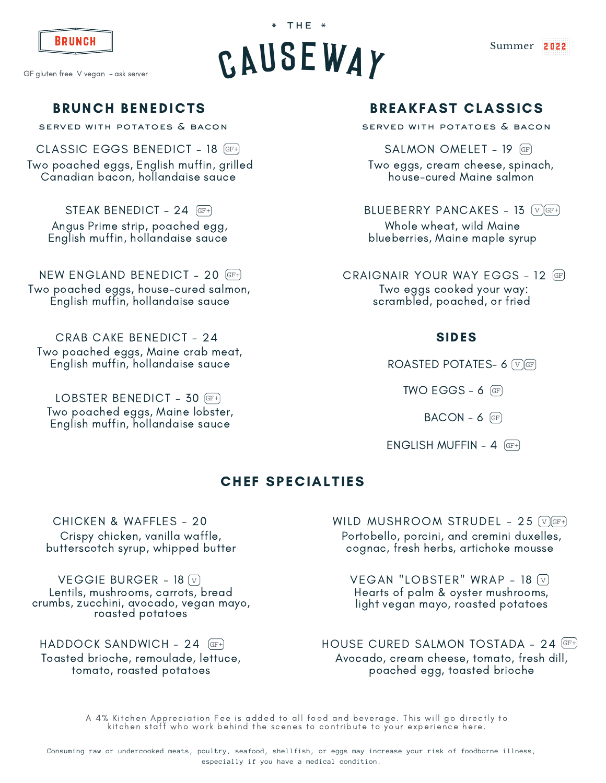

GF gluten free V vegan + ask server

# BRUNCH BENEDICTS

served with potatoes & bacon

CLASSIC EGGS BENEDICT – 18 GF+ Two poached eggs, English muffin, grilled Canadian bacon, hollandaise sauce

STEAK BENEDICT - 24 GF+ Angus Prime strip, poached egg, English muffin, hollandaise sauce

NEW ENGLAND BENEDICT - 20 GF+ Two poached eggs, house-cured salmon, English muffin, hollandaise sauce

CRAB CAKE BENEDICT – 24 Two poached eggs, Maine crab meat, English muffin, hollandaise sauce

LOBSTER BENEDICT - 30 GF+ Two poached eggs, Maine lobster, English muffin, hollandaise sauce

# BRUNCH  $\begin{array}{ccc} \text{BRUNCH} \end{array}$  Summer 2022

 $*$  THE  $*$ 



served with potatoes & bacon

SALMON OMFLET - 19 GF

Two eggs, cream cheese, spinach, house-cured Maine salmon

BLUEBERRY PANCAKES - 13  $\sqrt{v}$  GF+

Whole wheat, wild Maine blueberries, Maine maple syrup

CRAIGNAIR YOUR WAY EGGS – 12 GF Two eggs cooked your way: scrambled, poached, or fried

#### SIDES

ROASTED POTATES-  $6$   $\sqrt{9}$  GF

 $TWO EGGS - 6$   $GF$ 

 $BACON - 6$  (GF)

ENGLISH MUFFIN -  $4$  (GF+)

#### CHEF SPECIALTIES

CHICKEN & WAFFLES - 20 Crispy chicken, vanilla waffle, butterscotch syrup, whipped butter

VEGGIE BURGER - 18  $\overline{v}$ Lentils, mushrooms, carrots, bread crumbs, zucchini, avocado, vegan mayo, roasted potatoes

HADDOCK SANDWICH - 24 GF+ Toasted brioche, remoulade, lettuce,

tomato, roasted potatoes

WILD MUSHROOM STRUDEL - 25  $\sqrt{n}$  GF+ Portobello, porcini, and cremini duxelles, cognac, fresh herbs, artichoke mousse

VEGAN "LOBSTER" WRAP - 18  $\overline{v}$ Hearts of palm & oyster mushrooms, light vegan mayo, roasted potatoes

HOUSE CURED SALMON TOSTADA - 24 (GF+) Avocado, cream cheese, tomato, fresh dill, poached egg, toasted brioche

A 4% Kitchen Appreciation Fee is added to all food and beverage. This will go directly to kitchen staff who work behind the scenes to contribute to your experience here.